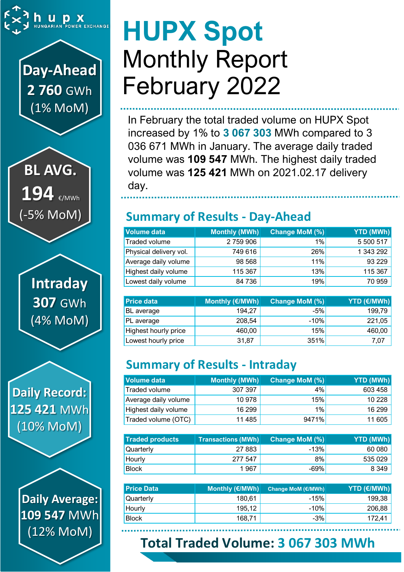

## **Day-Ahead 2 760** GWh (1% MoM)

**BL AVG.** 194 €/MWh (-5% MoM)

> **Intraday 307** GWh (4% MoM)

**Daily Record: 125 421** MWh (10% MoM)

> **Daily Average: 109 547** MWh (12% MoM)

# **HUPX Spot** Monthly Report February 2022

In February the total traded volume on HUPX Spot increased by 1% to **3 067 303** MWh compared to 3 036 671 MWh in January. The average daily traded volume was **109 547** MWh. The highest daily traded volume was **125 421** MWh on 2021.02.17 delivery day.

## **Summary of Results - Day-Ahead**

| Volume data            | Monthly (MWh) | Change MoM (%) | YTD (MWh) |
|------------------------|---------------|----------------|-----------|
| Traded volume          | 2759906       | 1%             | 5 500 517 |
| Physical delivery vol. | 749 616       | 26%            | 1 343 292 |
| Average daily volume   | 98 568        | 11%            | 93 229    |
| Highest daily volume   | 115 367       | 13%            | 115 367   |
| Lowest daily volume    | 84 736        | 19%            | 70 959    |

| <b>Price data</b>    | Monthly (€/MWh) | <b>Change MoM (%)</b> | <b>YTD (€/MWh)</b> |
|----------------------|-----------------|-----------------------|--------------------|
| BL average           | 194.27          | $-5%$                 | 199,79             |
| PL average           | 208,54          | $-10%$                | 221,05             |
| Highest hourly price | 460,00          | 15%                   | 460,00             |
| Lowest hourly price  | 31,87           | 351%                  | 7,07               |

## **Summary of Results - Intraday**

| <b>Volume data</b>   | Monthly (MWh) | Change MoM (%) | YTD (MWh) |
|----------------------|---------------|----------------|-----------|
| Traded volume        | 307 397       | 4%             | 603 458   |
| Average daily volume | 10 978        | 15%            | 10 228    |
| Highest daily volume | 16 299        | 1%             | 16 299    |
| Traded volume (OTC)  | 11 485        | 9471%          | 11 605    |

| <b>Traded products</b> | <b>Transactions (MWh)</b> | Change MoM (%) | <b>YTD (MWh)</b> |
|------------------------|---------------------------|----------------|------------------|
| <b>Quarterly</b>       | 27 883                    | $-13%$         | 60 080           |
| Hourly                 | 277 547                   | 8%             | 535 029          |
| <b>Block</b>           | 1 967                     | $-69%$         | 8 349            |

| <b>Price Data</b> | Monthly (€/MWh) | <b>Change MoM (€/MWh)</b> | <b>YTD (€/MWh)</b> |
|-------------------|-----------------|---------------------------|--------------------|
| Quarterly         | 180.61          | $-15%$                    | 199,38             |
| Hourly            | 195,12          | $-10%$                    | 206,88             |
| <b>Block</b>      | 168.71          | $-3%$                     | 172,41             |

## **Total Traded Volume: 3 067 303 MWh**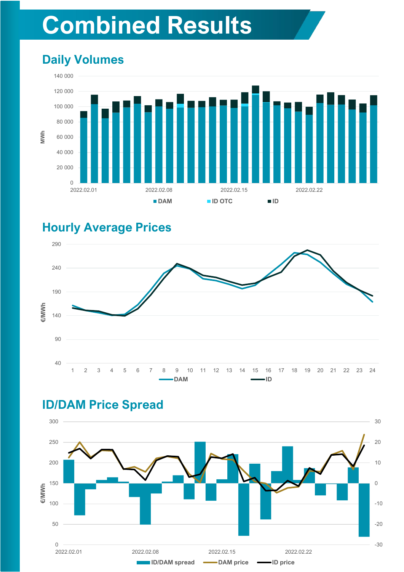## **Combined Results**

## **Daily Volumes**



#### **Hourly Average Prices**





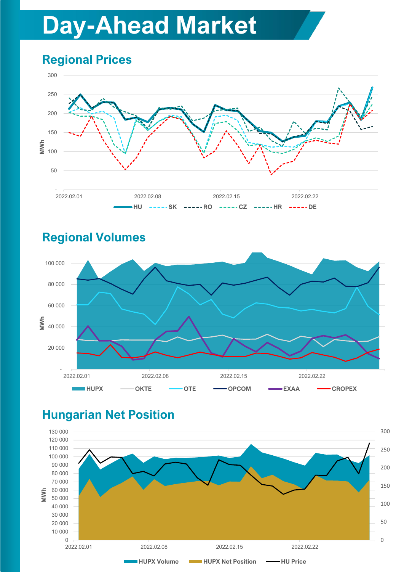## **Day-Ahead Market**

## **Regional Prices**





#### **Regional Volumes**

## **Hungarian Net Position**

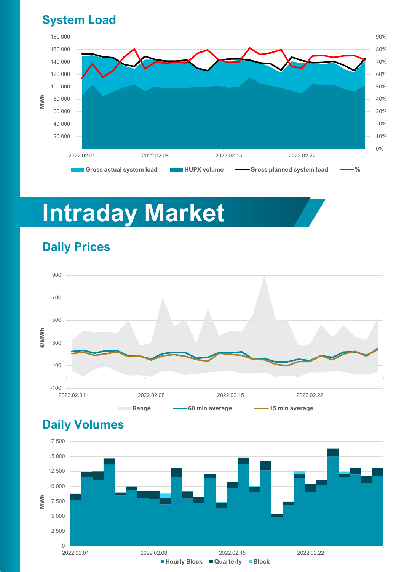#### **System Load**



## **Intraday Market**



## **Daily Prices**